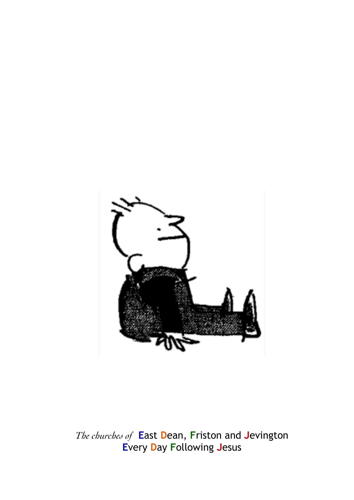

The churches of East Dean, Friston and Jevington **Every Day Following Jesus**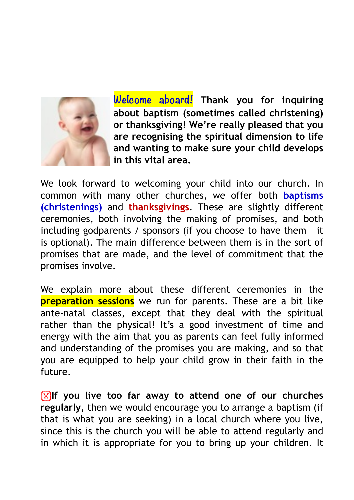

**Welcome aboard! Thank you for inquiring about baptism (sometimes called christening) or thanksgiving! We're really pleased that you are recognising the spiritual dimension to life and wanting to make sure your child develops in this vital area.** 

We look forward to welcoming your child into our church. In common with many other churches, we offer both **baptisms (christenings)** and **thanksgivings**. These are slightly different ceremonies, both involving the making of promises, and both including godparents / sponsors (if you choose to have them – it is optional). The main difference between them is in the sort of promises that are made, and the level of commitment that the promises involve.

We explain more about these different ceremonies in the **preparation sessions** we run for parents. These are a bit like ante-natal classes, except that they deal with the spiritual rather than the physical! It's a good investment of time and energy with the aim that you as parents can feel fully informed and understanding of the promises you are making, and so that you are equipped to help your child grow in their faith in the future.

**If you live too far away to attend one of our churches regularly**, then we would encourage you to arrange a baptism (if that is what you are seeking) in a local church where you live, since this is the church you will be able to attend regularly and in which it is appropriate for you to bring up your children. It